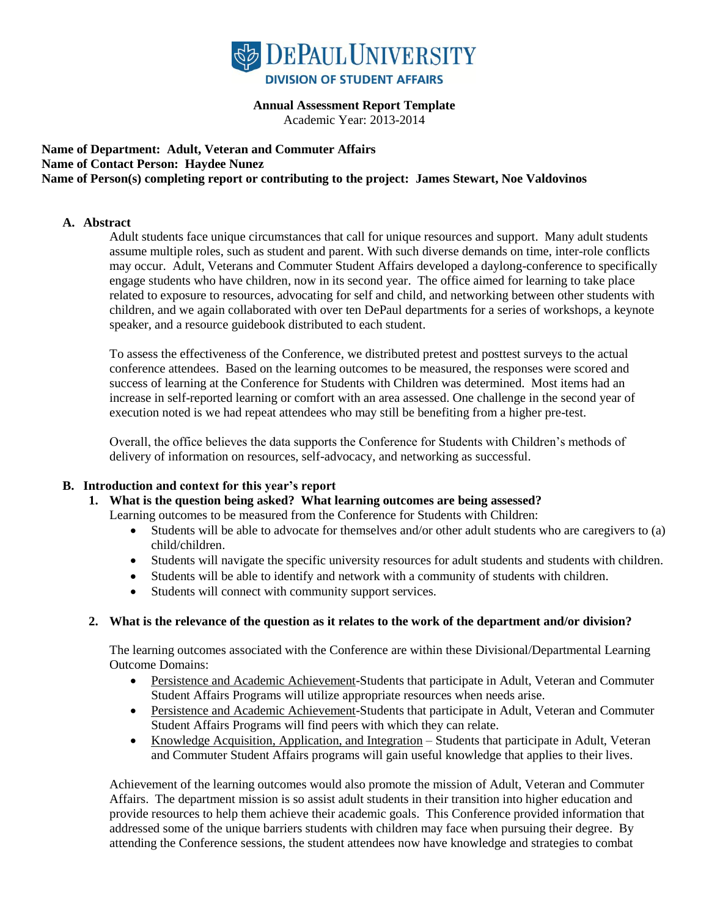

#### **Annual Assessment Report Template**

Academic Year: 2013-2014

#### **Name of Department: Adult, Veteran and Commuter Affairs Name of Contact Person: Haydee Nunez Name of Person(s) completing report or contributing to the project: James Stewart, Noe Valdovinos**

#### **A. Abstract**

Adult students face unique circumstances that call for unique resources and support. Many adult students assume multiple roles, such as student and parent. With such diverse demands on time, inter-role conflicts may occur. Adult, Veterans and Commuter Student Affairs developed a daylong-conference to specifically engage students who have children, now in its second year. The office aimed for learning to take place related to exposure to resources, advocating for self and child, and networking between other students with children, and we again collaborated with over ten DePaul departments for a series of workshops, a keynote speaker, and a resource guidebook distributed to each student.

To assess the effectiveness of the Conference, we distributed pretest and posttest surveys to the actual conference attendees. Based on the learning outcomes to be measured, the responses were scored and success of learning at the Conference for Students with Children was determined. Most items had an increase in self-reported learning or comfort with an area assessed. One challenge in the second year of execution noted is we had repeat attendees who may still be benefiting from a higher pre-test.

Overall, the office believes the data supports the Conference for Students with Children's methods of delivery of information on resources, self-advocacy, and networking as successful.

#### **B. Introduction and context for this year's report**

#### **1. What is the question being asked? What learning outcomes are being assessed?**

Learning outcomes to be measured from the Conference for Students with Children:

- Students will be able to advocate for themselves and/or other adult students who are caregivers to (a) child/children.
- Students will navigate the specific university resources for adult students and students with children.
- Students will be able to identify and network with a community of students with children.
- Students will connect with community support services.

#### **2. What is the relevance of the question as it relates to the work of the department and/or division?**

The learning outcomes associated with the Conference are within these Divisional/Departmental Learning Outcome Domains:

- Persistence and Academic Achievement-Students that participate in Adult, Veteran and Commuter Student Affairs Programs will utilize appropriate resources when needs arise.
- Persistence and Academic Achievement-Students that participate in Adult, Veteran and Commuter Student Affairs Programs will find peers with which they can relate.
- Knowledge Acquisition, Application, and Integration Students that participate in Adult, Veteran and Commuter Student Affairs programs will gain useful knowledge that applies to their lives.

Achievement of the learning outcomes would also promote the mission of Adult, Veteran and Commuter Affairs. The department mission is so assist adult students in their transition into higher education and provide resources to help them achieve their academic goals. This Conference provided information that addressed some of the unique barriers students with children may face when pursuing their degree. By attending the Conference sessions, the student attendees now have knowledge and strategies to combat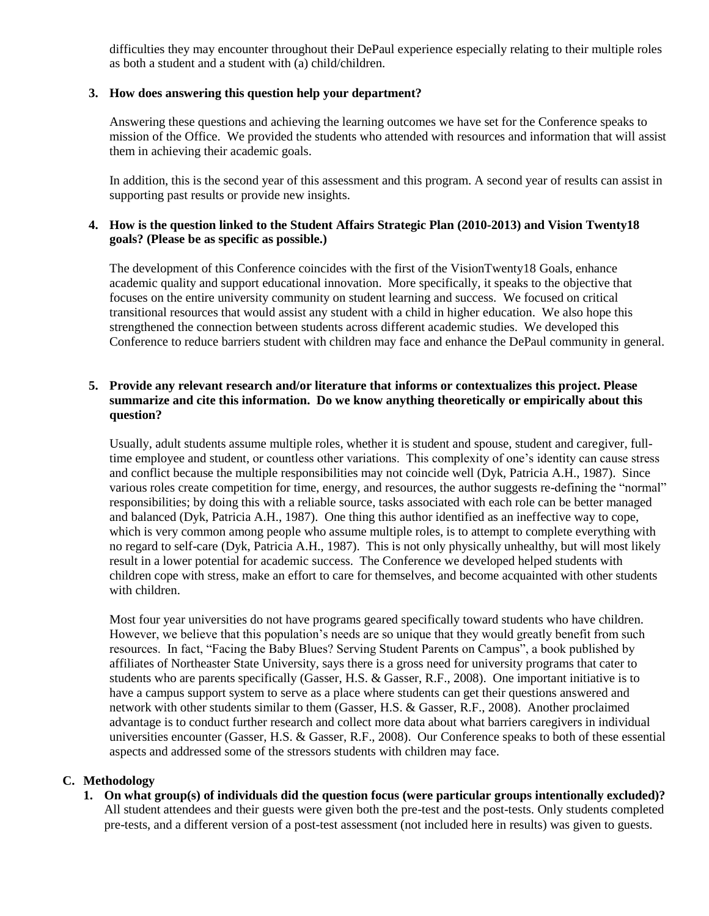difficulties they may encounter throughout their DePaul experience especially relating to their multiple roles as both a student and a student with (a) child/children.

#### **3. How does answering this question help your department?**

Answering these questions and achieving the learning outcomes we have set for the Conference speaks to mission of the Office. We provided the students who attended with resources and information that will assist them in achieving their academic goals.

In addition, this is the second year of this assessment and this program. A second year of results can assist in supporting past results or provide new insights.

#### **4. How is the question linked to the Student Affairs Strategic Plan (2010-2013) and Vision Twenty18 goals? (Please be as specific as possible.)**

The development of this Conference coincides with the first of the VisionTwenty18 Goals, enhance academic quality and support educational innovation. More specifically, it speaks to the objective that focuses on the entire university community on student learning and success. We focused on critical transitional resources that would assist any student with a child in higher education. We also hope this strengthened the connection between students across different academic studies. We developed this Conference to reduce barriers student with children may face and enhance the DePaul community in general.

#### **5. Provide any relevant research and/or literature that informs or contextualizes this project. Please summarize and cite this information. Do we know anything theoretically or empirically about this question?**

Usually, adult students assume multiple roles, whether it is student and spouse, student and caregiver, fulltime employee and student, or countless other variations. This complexity of one's identity can cause stress and conflict because the multiple responsibilities may not coincide well (Dyk, Patricia A.H., 1987). Since various roles create competition for time, energy, and resources, the author suggests re-defining the "normal" responsibilities; by doing this with a reliable source, tasks associated with each role can be better managed and balanced (Dyk, Patricia A.H., 1987). One thing this author identified as an ineffective way to cope, which is very common among people who assume multiple roles, is to attempt to complete everything with no regard to self-care (Dyk, Patricia A.H., 1987). This is not only physically unhealthy, but will most likely result in a lower potential for academic success. The Conference we developed helped students with children cope with stress, make an effort to care for themselves, and become acquainted with other students with children.

Most four year universities do not have programs geared specifically toward students who have children. However, we believe that this population's needs are so unique that they would greatly benefit from such resources. In fact, "Facing the Baby Blues? Serving Student Parents on Campus", a book published by affiliates of Northeaster State University, says there is a gross need for university programs that cater to students who are parents specifically (Gasser, H.S. & Gasser, R.F., 2008). One important initiative is to have a campus support system to serve as a place where students can get their questions answered and network with other students similar to them (Gasser, H.S. & Gasser, R.F., 2008). Another proclaimed advantage is to conduct further research and collect more data about what barriers caregivers in individual universities encounter (Gasser, H.S. & Gasser, R.F., 2008). Our Conference speaks to both of these essential aspects and addressed some of the stressors students with children may face.

#### **C. Methodology**

**1. On what group(s) of individuals did the question focus (were particular groups intentionally excluded)?** All student attendees and their guests were given both the pre-test and the post-tests. Only students completed pre-tests, and a different version of a post-test assessment (not included here in results) was given to guests.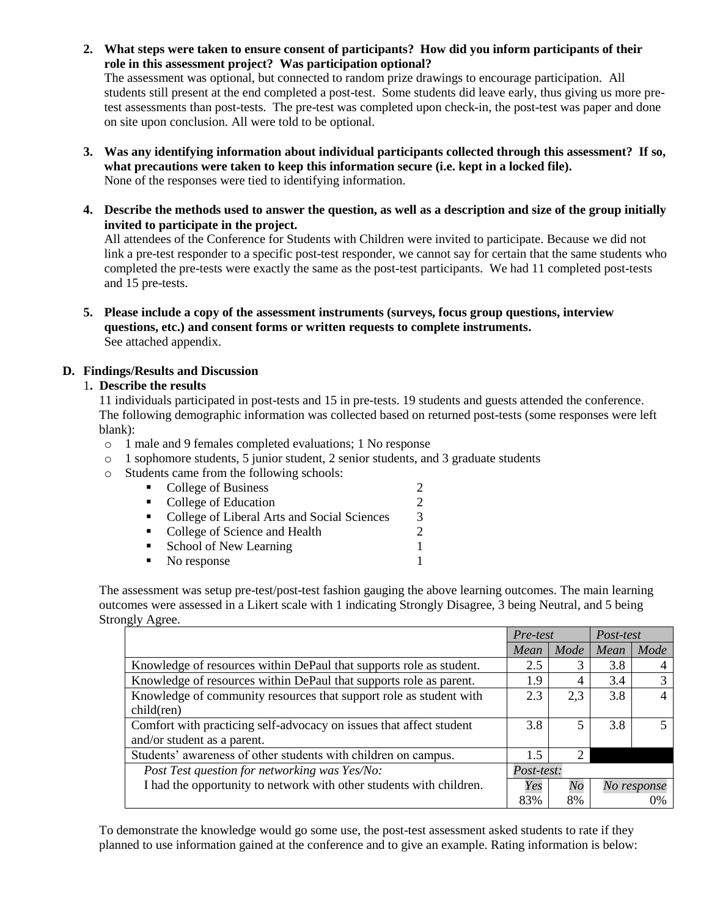**2. What steps were taken to ensure consent of participants? How did you inform participants of their role in this assessment project? Was participation optional?**

The assessment was optional, but connected to random prize drawings to encourage participation. All students still present at the end completed a post-test. Some students did leave early, thus giving us more pretest assessments than post-tests. The pre-test was completed upon check-in, the post-test was paper and done on site upon conclusion. All were told to be optional.

- **3. Was any identifying information about individual participants collected through this assessment? If so, what precautions were taken to keep this information secure (i.e. kept in a locked file).** None of the responses were tied to identifying information.
- **4. Describe the methods used to answer the question, as well as a description and size of the group initially invited to participate in the project.**

All attendees of the Conference for Students with Children were invited to participate. Because we did not link a pre-test responder to a specific post-test responder, we cannot say for certain that the same students who completed the pre-tests were exactly the same as the post-test participants. We had 11 completed post-tests and 15 pre-tests.

**5. Please include a copy of the assessment instruments (surveys, focus group questions, interview questions, etc.) and consent forms or written requests to complete instruments.** See attached appendix.

#### **D. Findings/Results and Discussion**

#### 1**. Describe the results**

11 individuals participated in post-tests and 15 in pre-tests. 19 students and guests attended the conference. The following demographic information was collected based on returned post-tests (some responses were left blank):

- o 1 male and 9 females completed evaluations; 1 No response
- $\circ$  1 sophomore students, 5 junior student, 2 senior students, and 3 graduate students
- o Students came from the following schools:

| $\mathbf{u}$ .   | College of Business                         |                             |
|------------------|---------------------------------------------|-----------------------------|
| $\blacksquare$ . | College of Education                        | $\mathcal{D}_{\mathcal{L}}$ |
| $\mathbf{m}$     | College of Liberal Arts and Social Sciences | 3                           |
| $\mathbf{m}$     | College of Science and Health               | 2                           |
| $\blacksquare$   | School of New Learning                      |                             |
| ٠                | No response                                 |                             |
|                  |                                             |                             |

The assessment was setup pre-test/post-test fashion gauging the above learning outcomes. The main learning outcomes were assessed in a Likert scale with 1 indicating Strongly Disagree, 3 being Neutral, and 5 being Strongly Agree.

|                                                                     | Pre-test |                   | Post-test |             |
|---------------------------------------------------------------------|----------|-------------------|-----------|-------------|
|                                                                     | Mean     | Mode              | Mean      | Mode        |
| Knowledge of resources within DePaul that supports role as student. | 2.5      | 3                 | 3.8       |             |
| Knowledge of resources within DePaul that supports role as parent.  | 1.9      | 4                 | 3.4       |             |
| Knowledge of community resources that support role as student with  | 2.3      | 2,3               | 3.8       |             |
| child(ren)                                                          |          |                   |           |             |
| Comfort with practicing self-advocacy on issues that affect student | 3.8      | 5                 | 3.8       |             |
| and/or student as a parent.                                         |          |                   |           |             |
| Students' awareness of other students with children on campus.      | 1.5      | 2                 |           |             |
| Post Test question for networking was Yes/No:                       |          | <i>Post-test:</i> |           |             |
| I had the opportunity to network with other students with children. |          | No                |           | No response |
|                                                                     | 83%      | 8%                |           | $0\%$       |

To demonstrate the knowledge would go some use, the post-test assessment asked students to rate if they planned to use information gained at the conference and to give an example. Rating information is below: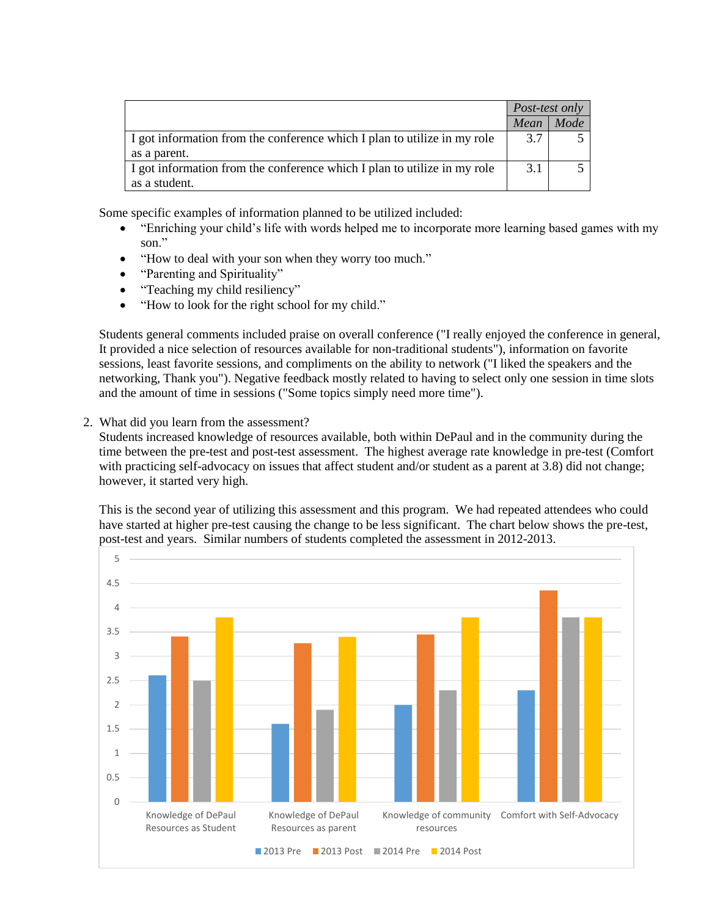|                                                                          | <i>Post-test only</i> |      |
|--------------------------------------------------------------------------|-----------------------|------|
|                                                                          | Mean                  | Mode |
| I got information from the conference which I plan to utilize in my role | 3.7                   |      |
| as a parent.                                                             |                       |      |
| I got information from the conference which I plan to utilize in my role | 3.1                   |      |
| as a student.                                                            |                       |      |

Some specific examples of information planned to be utilized included:

- "Enriching your child's life with words helped me to incorporate more learning based games with my son."
- "How to deal with your son when they worry too much."
- "Parenting and Spirituality"
- "Teaching my child resiliency"
- "How to look for the right school for my child."

Students general comments included praise on overall conference ("I really enjoyed the conference in general, It provided a nice selection of resources available for non-traditional students"), information on favorite sessions, least favorite sessions, and compliments on the ability to network ("I liked the speakers and the networking, Thank you"). Negative feedback mostly related to having to select only one session in time slots and the amount of time in sessions ("Some topics simply need more time").

2. What did you learn from the assessment?

Students increased knowledge of resources available, both within DePaul and in the community during the time between the pre-test and post-test assessment. The highest average rate knowledge in pre-test (Comfort with practicing self-advocacy on issues that affect student and/or student as a parent at 3.8) did not change; however, it started very high.

This is the second year of utilizing this assessment and this program. We had repeated attendees who could have started at higher pre-test causing the change to be less significant. The chart below shows the pre-test, post-test and years. Similar numbers of students completed the assessment in 2012-2013.

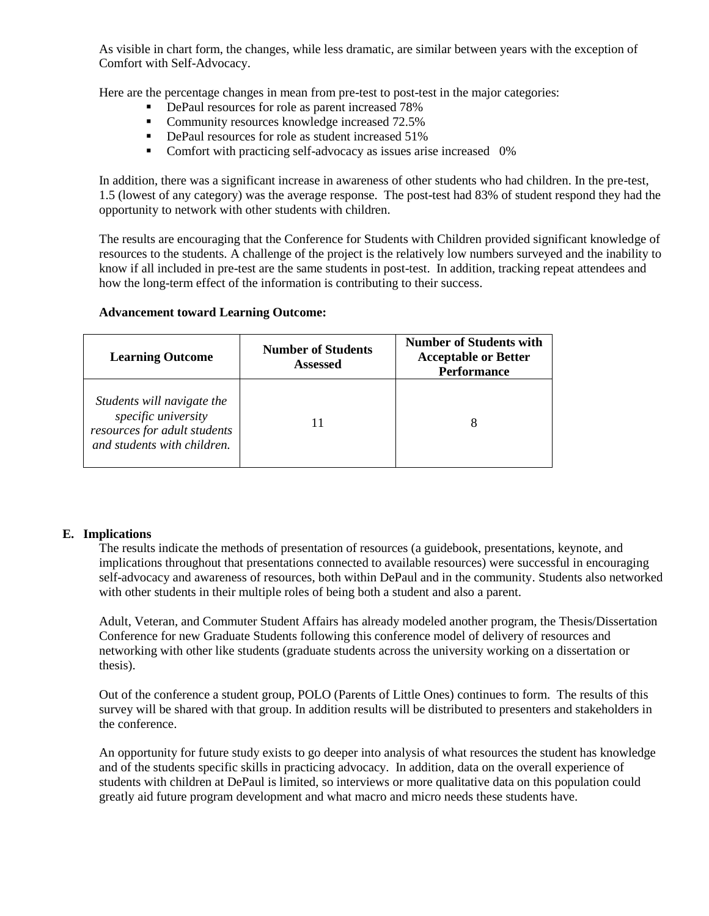As visible in chart form, the changes, while less dramatic, are similar between years with the exception of Comfort with Self-Advocacy.

Here are the percentage changes in mean from pre-test to post-test in the major categories:

- DePaul resources for role as parent increased 78%
- Community resources knowledge increased 72.5%
- DePaul resources for role as student increased 51%
- Comfort with practicing self-advocacy as issues arise increased 0%

In addition, there was a significant increase in awareness of other students who had children. In the pre-test, 1.5 (lowest of any category) was the average response. The post-test had 83% of student respond they had the opportunity to network with other students with children.

The results are encouraging that the Conference for Students with Children provided significant knowledge of resources to the students. A challenge of the project is the relatively low numbers surveyed and the inability to know if all included in pre-test are the same students in post-test. In addition, tracking repeat attendees and how the long-term effect of the information is contributing to their success.

| <b>Learning Outcome</b>                                                                                          | <b>Number of Students</b><br><b>Assessed</b> | <b>Number of Students with</b><br><b>Acceptable or Better</b><br><b>Performance</b> |  |  |
|------------------------------------------------------------------------------------------------------------------|----------------------------------------------|-------------------------------------------------------------------------------------|--|--|
| Students will navigate the<br>specific university<br>resources for adult students<br>and students with children. |                                              | 8                                                                                   |  |  |

#### **Advancement toward Learning Outcome:**

#### **E. Implications**

The results indicate the methods of presentation of resources (a guidebook, presentations, keynote, and implications throughout that presentations connected to available resources) were successful in encouraging self-advocacy and awareness of resources, both within DePaul and in the community. Students also networked with other students in their multiple roles of being both a student and also a parent.

Adult, Veteran, and Commuter Student Affairs has already modeled another program, the Thesis/Dissertation Conference for new Graduate Students following this conference model of delivery of resources and networking with other like students (graduate students across the university working on a dissertation or thesis).

Out of the conference a student group, POLO (Parents of Little Ones) continues to form. The results of this survey will be shared with that group. In addition results will be distributed to presenters and stakeholders in the conference.

An opportunity for future study exists to go deeper into analysis of what resources the student has knowledge and of the students specific skills in practicing advocacy. In addition, data on the overall experience of students with children at DePaul is limited, so interviews or more qualitative data on this population could greatly aid future program development and what macro and micro needs these students have.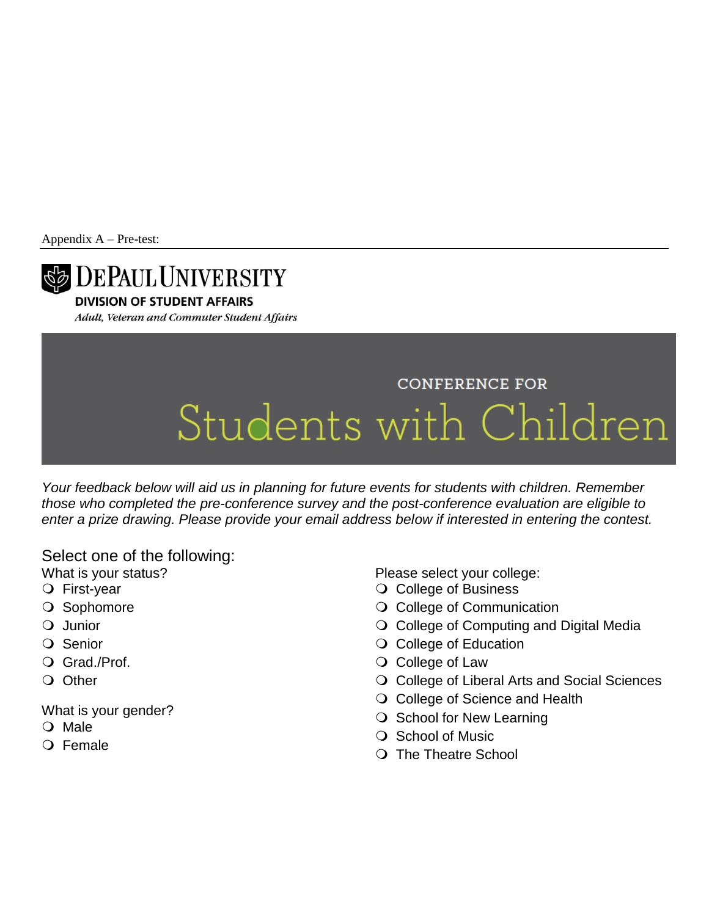Appendix A – Pre-test:



**DIVISION OF STUDENT AFFAIRS** 

Adult, Veteran and Commuter Student Affairs

## **CONFERENCE FOR** Students with Children

*Your feedback below will aid us in planning for future events for students with children. Remember those who completed the pre-conference survey and the post-conference evaluation are eligible to enter a prize drawing. Please provide your email address below if interested in entering the contest.*

### Select one of the following:

What is your status?

- First-year
- O Sophomore
- Q Junior
- O Senior
- O Grad./Prof.
- O Other

What is your gender?

- O Male
- O Female

Please select your college:

- O College of Business
- O College of Communication
- O College of Computing and Digital Media
- O College of Education
- O College of Law
- O College of Liberal Arts and Social Sciences
- O College of Science and Health
- $\bigcirc$  School for New Learning
- O School of Music
- The Theatre School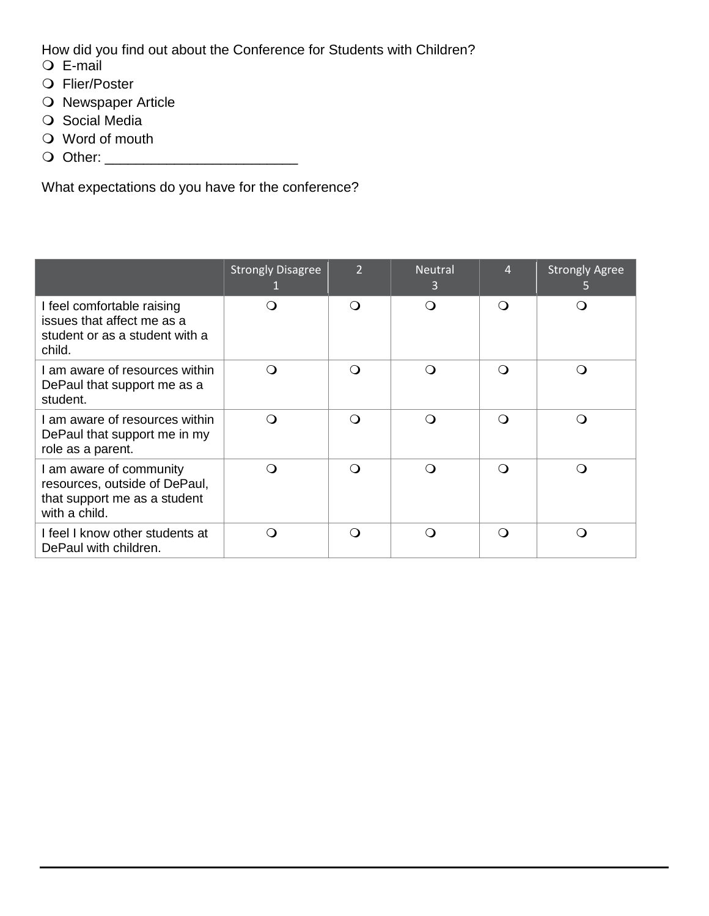How did you find out about the Conference for Students with Children?

- E-mail
- Flier/Poster
- O Newspaper Article
- O Social Media
- Word of mouth
- Other: \_\_\_\_\_\_\_\_\_\_\_\_\_\_\_\_\_\_\_\_\_\_\_\_\_

What expectations do you have for the conference?

|                                                                                                           | <b>Strongly Disagree</b> | $\overline{2}$ | <b>Neutral</b><br>3 | 4        | <b>Strongly Agree</b><br>5 |
|-----------------------------------------------------------------------------------------------------------|--------------------------|----------------|---------------------|----------|----------------------------|
| I feel comfortable raising<br>issues that affect me as a<br>student or as a student with a<br>child.      |                          | ∩              | $\Omega$            | ∩        |                            |
| I am aware of resources within<br>DePaul that support me as a<br>student.                                 | ∩ )                      | ∩              | ∩                   | ∩        | ∩                          |
| I am aware of resources within<br>DePaul that support me in my<br>role as a parent.                       | ∩                        | $\Omega$       | ∩                   | $\Omega$ | ∩                          |
| I am aware of community<br>resources, outside of DePaul,<br>that support me as a student<br>with a child. | ∩                        | $\Omega$       | ∩                   | $\Omega$ | ∩                          |
| I feel I know other students at<br>DePaul with children.                                                  | ∩                        | $\Omega$       | ∩                   | $\Omega$ | ∩                          |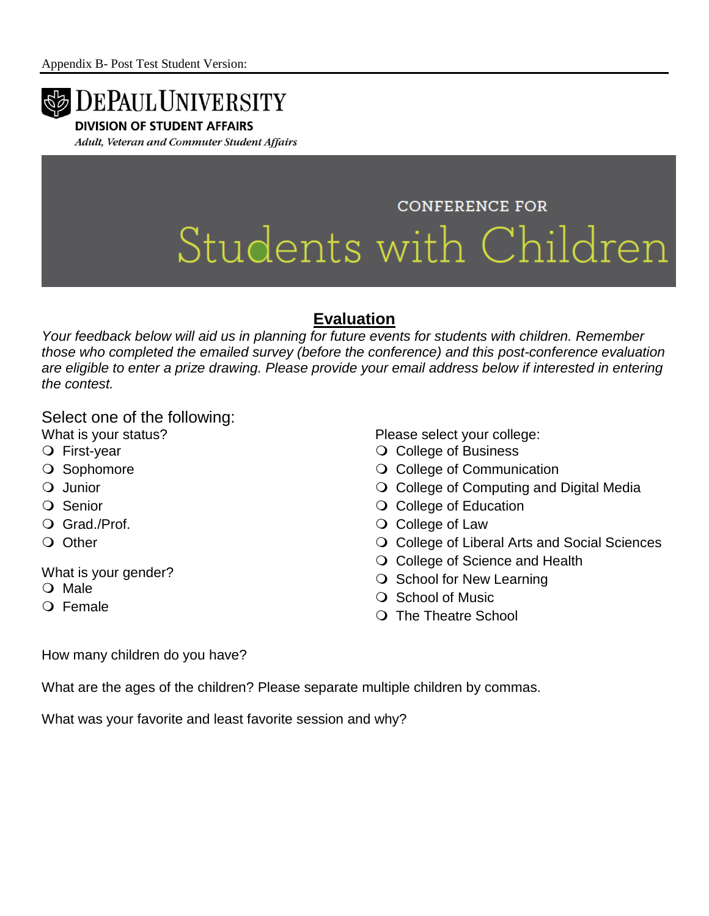

**DIVISION OF STUDENT AFFAIRS** 

Adult, Veteran and Commuter Student Affairs

# **CONFERENCE FOR** Students with Children

## **Evaluation**

*Your feedback below will aid us in planning for future events for students with children. Remember those who completed the emailed survey (before the conference) and this post-conference evaluation are eligible to enter a prize drawing. Please provide your email address below if interested in entering the contest.*

Select one of the following:

- What is your status?
- First-year
- O Sophomore
- Q Junior
- O Senior
- Grad./Prof.
- O Other

What is your gender?

- O Male
- Female

Please select your college:

- O College of Business
- O College of Communication
- O College of Computing and Digital Media
- O College of Education
- O College of Law
- O College of Liberal Arts and Social Sciences
- O College of Science and Health
- O School for New Learning
- O School of Music
- The Theatre School

How many children do you have?

What are the ages of the children? Please separate multiple children by commas.

What was your favorite and least favorite session and why?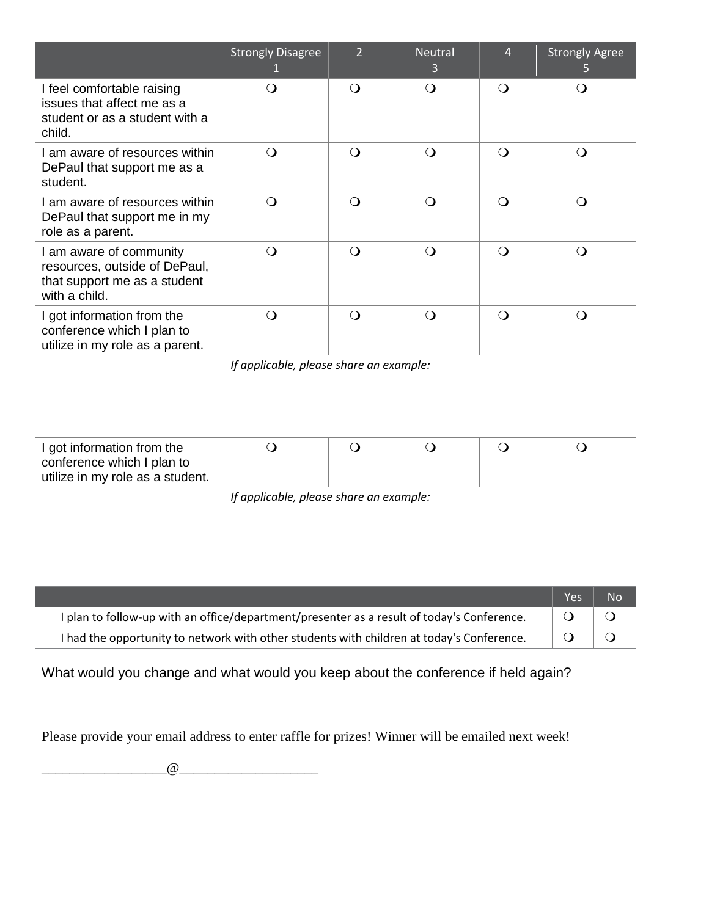|                                                                                                           | <b>Strongly Disagree</b><br>$\mathbf{1}$ | $\overline{2}$ | <b>Neutral</b><br>3 | $\overline{4}$ | <b>Strongly Agree</b><br>5 |
|-----------------------------------------------------------------------------------------------------------|------------------------------------------|----------------|---------------------|----------------|----------------------------|
| I feel comfortable raising<br>issues that affect me as a<br>student or as a student with a<br>child.      | $\bigcirc$                               | $\circ$        | $\bigcirc$          | $\bigcirc$     | $\bigcirc$                 |
| I am aware of resources within<br>DePaul that support me as a<br>student.                                 | $\bigcirc$                               | $\circ$        | $\bigcirc$          | $\bigcirc$     | $\bigcirc$                 |
| I am aware of resources within<br>DePaul that support me in my<br>role as a parent.                       | $\bigcirc$                               | $\bigcirc$     | $\bigcirc$          | $\bigcirc$     | $\bigcirc$                 |
| I am aware of community<br>resources, outside of DePaul,<br>that support me as a student<br>with a child. | $\bigcirc$                               | $\bigcirc$     | $\bigcirc$          | $\bigcirc$     | $\bigcirc$                 |
| I got information from the<br>conference which I plan to<br>utilize in my role as a parent.               | $\bigcirc$                               | $\bigcirc$     | $\bigcirc$          | $\bigcirc$     | $\bigcirc$                 |
|                                                                                                           | If applicable, please share an example:  |                |                     |                |                            |
| I got information from the<br>conference which I plan to<br>utilize in my role as a student.              | $\bigcirc$                               | $\bigcirc$     | $\bigcirc$          | $\bigcirc$     | $\Omega$                   |
|                                                                                                           | If applicable, please share an example:  |                |                     |                |                            |

|                                                                                            | <b>Yes</b> | <b>No</b> |
|--------------------------------------------------------------------------------------------|------------|-----------|
| I plan to follow-up with an office/department/presenter as a result of today's Conference. |            |           |
| I had the opportunity to network with other students with children at today's Conference.  |            | $\Omega$  |

What would you change and what would you keep about the conference if held again?

Please provide your email address to enter raffle for prizes! Winner will be emailed next week!

 $\omega$  and the contract of  $\omega$  and  $\omega$  and  $\omega$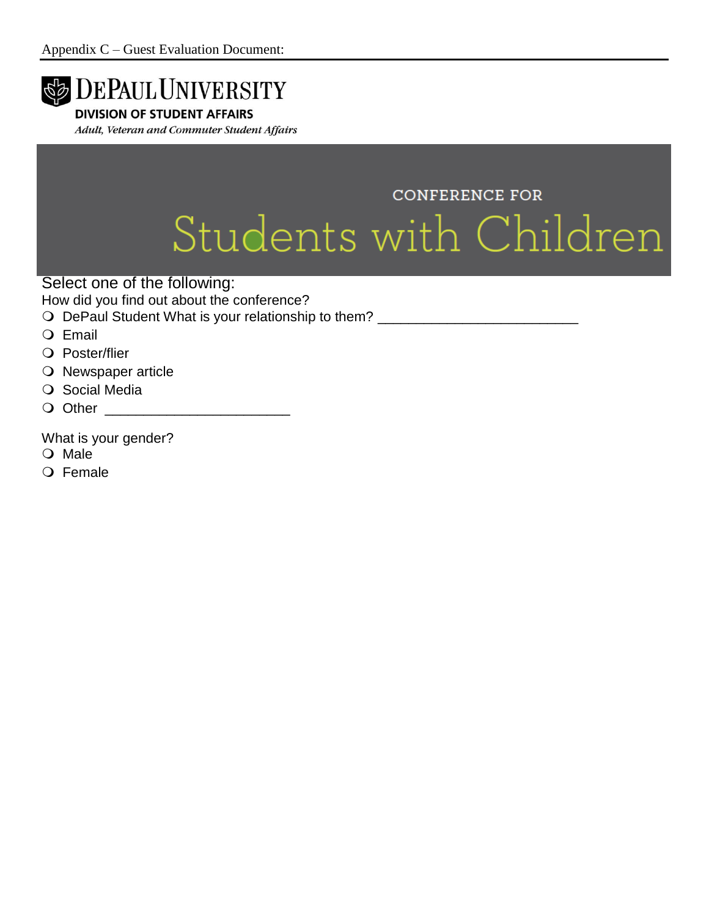

- O Male
- O Female